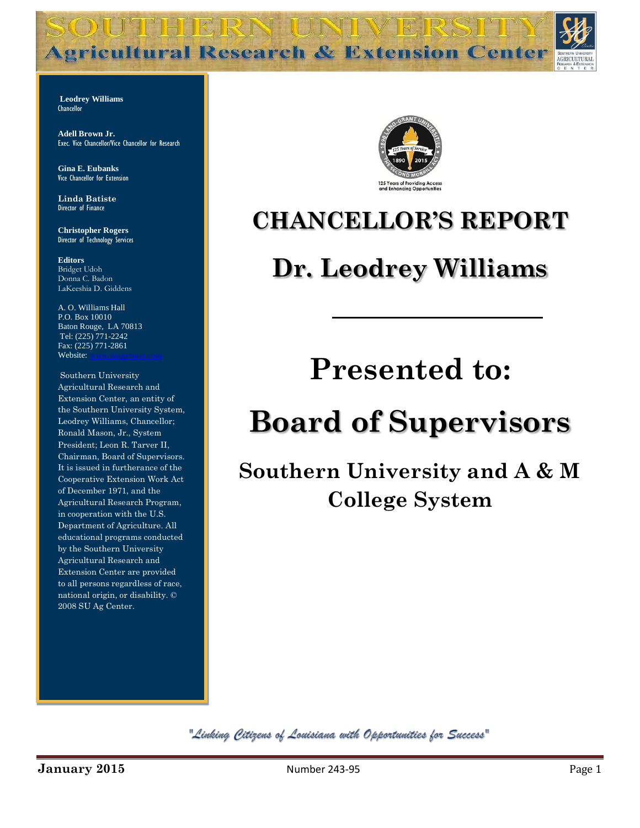**Agricultural Research & Extension Center** 

**TERT** 

**Leodrey Williams Chancellor** 

**Adell Brown Jr.**  Exec. Vice Chancellor/Vice Chancellor for Research

**Gina E. Eubanks** Vice Chancellor for Extension

**Linda Batiste** Director of Finance

**Christopher Rogers** Director of Technology Services

**Editors** Bridget Udoh Donna C. Badon LaKeeshia D. Giddens

A. O. Williams Hall P.O. Box 10010 Baton Rouge, LA 70813 Tel: (225) 771-2242 Fax: (225) 771-2861 Website:

Southern University Agricultural Research and Extension Center, an entity of the Southern University System, Leodrey Williams, Chancellor; Ronald Mason, Jr., System President; Leon R. Tarver II, Chairman, Board of Supervisors. It is issued in furtherance of the Cooperative Extension Work Act of December 1971, and the Agricultural Research Program, in cooperation with the U.S. Department of Agriculture. All educational programs conducted by the Southern University Agricultural Research and Extension Center are provided to all persons regardless of race, national origin, or disability. © 2008 SU Ag Center.



### **CHANCELLOR'S REPORT**

### **Dr. Leodrey Williams**

## **Presented to:**

# **Board of Supervisors**

**Southern University and A & M College System**

"Linking Citizens of Louisiana with Opportunities for Success"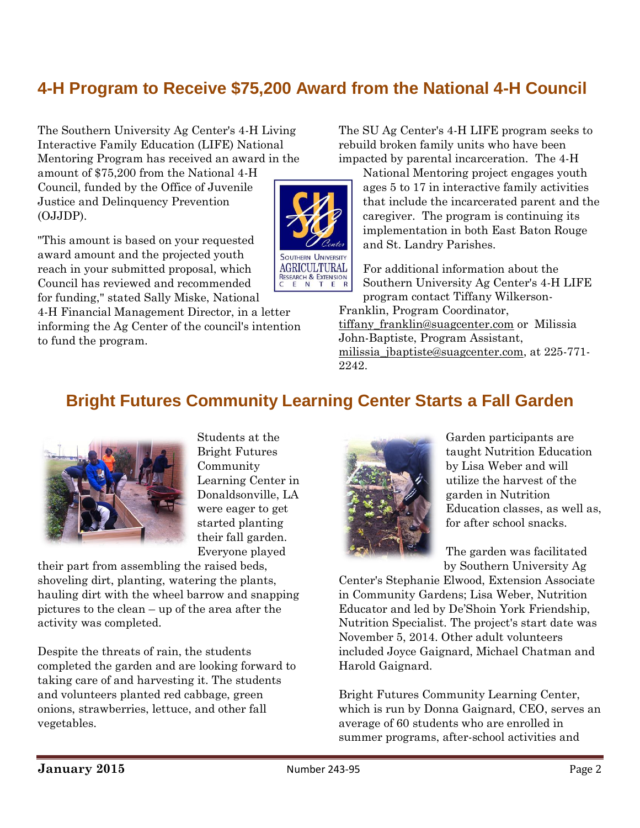#### **4-H Program to Receive \$75,200 Award from the National 4-H Council**

**SOUTHERN UNIVERSITY AGRICULTURAL** RESEARCH & EXTENSION

The Southern University Ag Center's 4-H Living Interactive Family Education (LIFE) National Mentoring Program has received an award in the

amount of \$75,200 from the National 4-H Council, funded by the Office of Juvenile Justice and Delinquency Prevention (OJJDP).

"This amount is based on your requested award amount and the projected youth reach in your submitted proposal, which Council has reviewed and recommended for funding," stated Sally Miske, National

4-H Financial Management Director, in a letter informing the Ag Center of the council's intention to fund the program.

The SU Ag Center's 4-H LIFE program seeks to rebuild broken family units who have been impacted by parental incarceration. The 4-H

National Mentoring project engages youth ages 5 to 17 in interactive family activities that include the incarcerated parent and the caregiver. The program is continuing its implementation in both East Baton Rouge and St. Landry Parishes.

For additional information about the Southern University Ag Center's 4-H LIFE program contact Tiffany Wilkerson-

Franklin, Program Coordinator, [tiffany\\_franklin@suagcenter.com](mailto:tiffany_franklin@suagcenter.com) or Milissia John-Baptiste, Program Assistant, [milissia\\_jbaptiste@suagcenter.com,](mailto:milissia_jbaptiste@suagcenter.com) at 225-771- 2242.

#### **Bright Futures Community Learning Center Starts a Fall Garden**



Students at the Bright Futures Community Learning Center in Donaldsonville, LA were eager to get started planting their fall garden. Everyone played

their part from assembling the raised beds, shoveling dirt, planting, watering the plants, hauling dirt with the wheel barrow and snapping pictures to the clean – up of the area after the activity was completed.

Despite the threats of rain, the students completed the garden and are looking forward to taking care of and harvesting it. The students and volunteers planted red cabbage, green onions, strawberries, lettuce, and other fall vegetables.



Garden participants are taught Nutrition Education by Lisa Weber and will utilize the harvest of the garden in Nutrition Education classes, as well as, for after school snacks.

The garden was facilitated by Southern University Ag

Center's Stephanie Elwood, Extension Associate in Community Gardens; Lisa Weber, Nutrition Educator and led by De'Shoin York Friendship, Nutrition Specialist. The project's start date was November 5, 2014. Other adult volunteers included Joyce Gaignard, Michael Chatman and Harold Gaignard.

Bright Futures Community Learning Center, which is run by Donna Gaignard, CEO, serves an average of 60 students who are enrolled in summer programs, after-school activities and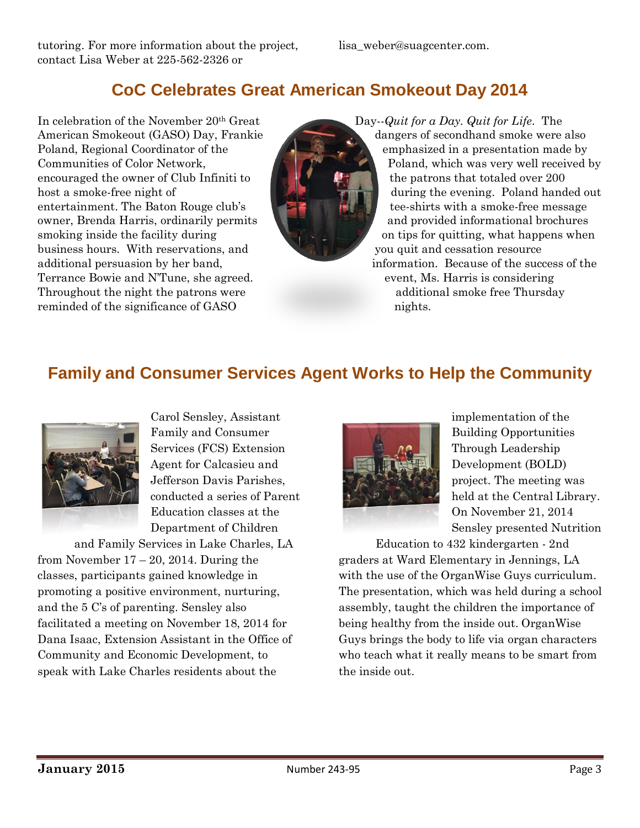#### **CoC Celebrates Great American Smokeout Day 2014**

In celebration of the November 20th Great American Smokeout (GASO) Day, Frankie Poland, Regional Coordinator of the Communities of Color Network, encouraged the owner of Club Infiniti to host a smoke-free night of entertainment. The Baton Rouge club's owner, Brenda Harris, ordinarily permits smoking inside the facility during business hours. With reservations, and additional persuasion by her band, Terrance Bowie and N'Tune, she agreed. Throughout the night the patrons were reminded of the significance of GASO



Day--*Quit for a Day. Quit for Life*. The dangers of secondhand smoke were also emphasized in a presentation made by Poland, which was very well received by the patrons that totaled over 200 during the evening. Poland handed out tee-shirts with a smoke-free message and provided informational brochures on tips for quitting, what happens when you quit and cessation resource information. Because of the success of the event, Ms. Harris is considering additional smoke free Thursday nights.

#### **Family and Consumer Services Agent Works to Help the Community**



Carol Sensley, Assistant Family and Consumer Services (FCS) Extension Agent for Calcasieu and Jefferson Davis Parishes, conducted a series of Parent Education classes at the Department of Children

and Family Services in Lake Charles, LA from November  $17 - 20$ , 2014. During the classes, participants gained knowledge in promoting a positive environment, nurturing, and the 5 C's of parenting. Sensley also facilitated a meeting on November 18, 2014 for Dana Isaac, Extension Assistant in the Office of Community and Economic Development, to speak with Lake Charles residents about the



implementation of the Building Opportunities Through Leadership Development (BOLD) project. The meeting was held at the Central Library. On November 21, 2014 Sensley presented Nutrition

Education to 432 kindergarten - 2nd graders at Ward Elementary in Jennings, LA with the use of the OrganWise Guys curriculum. The presentation, which was held during a school assembly, taught the children the importance of being healthy from the inside out. OrganWise Guys brings the body to life via organ characters who teach what it really means to be smart from the inside out.